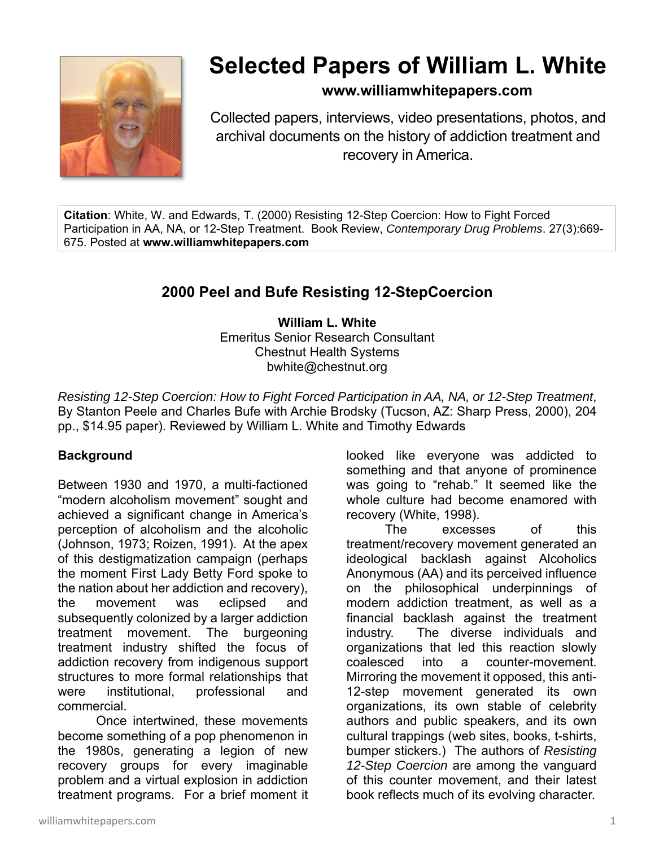

# **Selected Papers of William L. White**

### **www.williamwhitepapers.com**

Collected papers, interviews, video presentations, photos, and archival documents on the history of addiction treatment and recovery in America.

**Citation**: White, W. and Edwards, T. (2000) Resisting 12-Step Coercion: How to Fight Forced Participation in AA, NA, or 12-Step Treatment. Book Review, *Contemporary Drug Problems*. 27(3):669- 675. Posted at **www.williamwhitepapers.com** 

## **2000 Peel and Bufe Resisting 12-StepCoercion**

**William L. White**  Emeritus Senior Research Consultant Chestnut Health Systems bwhite@chestnut.org

*Resisting 12-Step Coercion: How to Fight Forced Participation in AA, NA, or 12-Step Treatment*, By Stanton Peele and Charles Bufe with Archie Brodsky (Tucson, AZ: Sharp Press, 2000), 204 pp., \$14.95 paper). Reviewed by William L. White and Timothy Edwards

#### **Background**

Between 1930 and 1970, a multi-factioned "modern alcoholism movement" sought and achieved a significant change in America's perception of alcoholism and the alcoholic (Johnson, 1973; Roizen, 1991). At the apex of this destigmatization campaign (perhaps the moment First Lady Betty Ford spoke to the nation about her addiction and recovery), the movement was eclipsed and subsequently colonized by a larger addiction treatment movement. The burgeoning treatment industry shifted the focus of addiction recovery from indigenous support structures to more formal relationships that were institutional, professional and commercial.

Once intertwined, these movements become something of a pop phenomenon in the 1980s, generating a legion of new recovery groups for every imaginable problem and a virtual explosion in addiction treatment programs. For a brief moment it looked like everyone was addicted to something and that anyone of prominence was going to "rehab." It seemed like the whole culture had become enamored with recovery (White, 1998).

The excesses of this treatment/recovery movement generated an ideological backlash against Alcoholics Anonymous (AA) and its perceived influence on the philosophical underpinnings of modern addiction treatment, as well as a financial backlash against the treatment industry. The diverse individuals and organizations that led this reaction slowly coalesced into a counter-movement. Mirroring the movement it opposed, this anti-12-step movement generated its own organizations, its own stable of celebrity authors and public speakers, and its own cultural trappings (web sites, books, t-shirts, bumper stickers.) The authors of *Resisting 12-Step Coercion* are among the vanguard of this counter movement, and their latest book reflects much of its evolving character.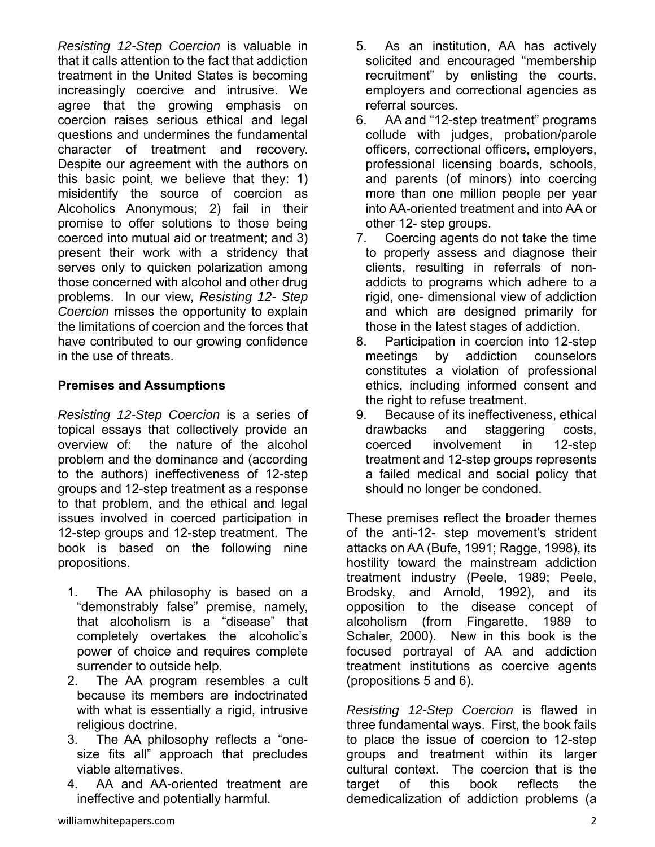*Resisting 12-Step Coercion* is valuable in that it calls attention to the fact that addiction treatment in the United States is becoming increasingly coercive and intrusive. We agree that the growing emphasis on coercion raises serious ethical and legal questions and undermines the fundamental character of treatment and recovery. Despite our agreement with the authors on this basic point, we believe that they: 1) misidentify the source of coercion as Alcoholics Anonymous; 2) fail in their promise to offer solutions to those being coerced into mutual aid or treatment; and 3) present their work with a stridency that serves only to quicken polarization among those concerned with alcohol and other drug problems. In our view, *Resisting 12- Step Coercion* misses the opportunity to explain the limitations of coercion and the forces that have contributed to our growing confidence in the use of threats.

#### **Premises and Assumptions**

*Resisting 12-Step Coercion* is a series of topical essays that collectively provide an overview of: the nature of the alcohol problem and the dominance and (according to the authors) ineffectiveness of 12-step groups and 12-step treatment as a response to that problem, and the ethical and legal issues involved in coerced participation in 12-step groups and 12-step treatment. The book is based on the following nine propositions.

- 1. The AA philosophy is based on a "demonstrably false" premise, namely, that alcoholism is a "disease" that completely overtakes the alcoholic's power of choice and requires complete surrender to outside help.
- 2. The AA program resembles a cult because its members are indoctrinated with what is essentially a rigid, intrusive religious doctrine.
- 3. The AA philosophy reflects a "onesize fits all" approach that precludes viable alternatives.
- 4. AA and AA-oriented treatment are ineffective and potentially harmful.
- 5. As an institution, AA has actively solicited and encouraged "membership recruitment" by enlisting the courts, employers and correctional agencies as referral sources.
- 6. AA and "12-step treatment" programs collude with judges, probation/parole officers, correctional officers, employers, professional licensing boards, schools, and parents (of minors) into coercing more than one million people per year into AA-oriented treatment and into AA or other 12- step groups.
- 7. Coercing agents do not take the time to properly assess and diagnose their clients, resulting in referrals of nonaddicts to programs which adhere to a rigid, one- dimensional view of addiction and which are designed primarily for those in the latest stages of addiction.
- 8. Participation in coercion into 12-step meetings by addiction counselors constitutes a violation of professional ethics, including informed consent and the right to refuse treatment.
- 9. Because of its ineffectiveness, ethical drawbacks and staggering costs, coerced involvement in 12-step treatment and 12-step groups represents a failed medical and social policy that should no longer be condoned.

These premises reflect the broader themes of the anti-12- step movement's strident attacks on AA (Bufe, 1991; Ragge, 1998), its hostility toward the mainstream addiction treatment industry (Peele, 1989; Peele, Brodsky, and Arnold, 1992), and its opposition to the disease concept of alcoholism (from Fingarette, 1989 to Schaler, 2000). New in this book is the focused portrayal of AA and addiction treatment institutions as coercive agents (propositions 5 and 6).

*Resisting 12-Step Coercion* is flawed in three fundamental ways. First, the book fails to place the issue of coercion to 12-step groups and treatment within its larger cultural context. The coercion that is the target of this book reflects the demedicalization of addiction problems (a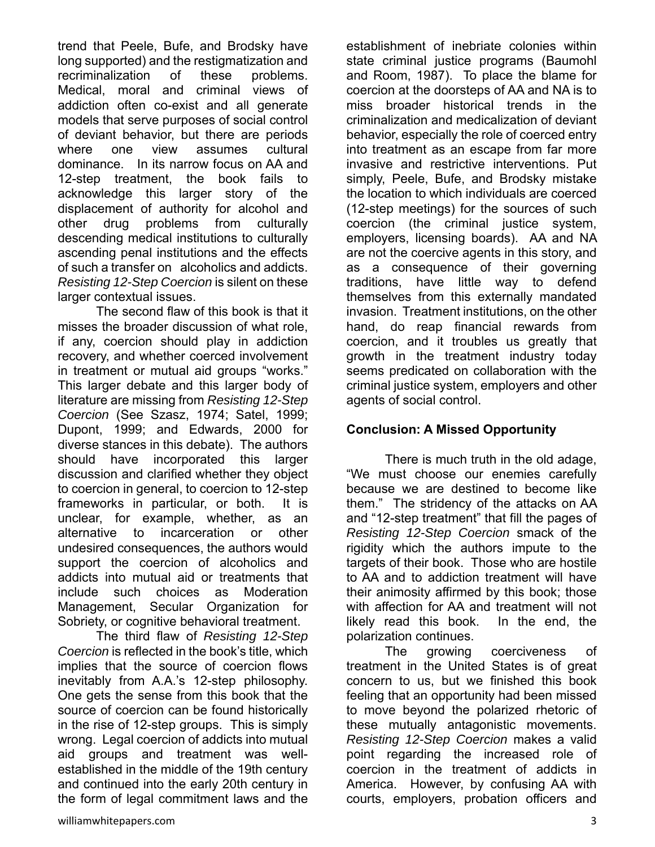trend that Peele, Bufe, and Brodsky have long supported) and the restigmatization and recriminalization of these problems. Medical, moral and criminal views of addiction often co-exist and all generate models that serve purposes of social control of deviant behavior, but there are periods where one view assumes cultural dominance. In its narrow focus on AA and 12-step treatment, the book fails to acknowledge this larger story of the displacement of authority for alcohol and other drug problems from culturally descending medical institutions to culturally ascending penal institutions and the effects of such a transfer on alcoholics and addicts. *Resisting 12-Step Coercion* is silent on these larger contextual issues.

The second flaw of this book is that it misses the broader discussion of what role, if any, coercion should play in addiction recovery, and whether coerced involvement in treatment or mutual aid groups "works." This larger debate and this larger body of literature are missing from *Resisting 12-Step Coercion* (See Szasz, 1974; Satel, 1999; Dupont, 1999; and Edwards, 2000 for diverse stances in this debate). The authors should have incorporated this larger discussion and clarified whether they object to coercion in general, to coercion to 12-step frameworks in particular, or both. It is unclear, for example, whether, as an alternative to incarceration or other undesired consequences, the authors would support the coercion of alcoholics and addicts into mutual aid or treatments that include such choices as Moderation Management, Secular Organization for Sobriety, or cognitive behavioral treatment.

 The third flaw of *Resisting 12-Step Coercion* is reflected in the book's title, which implies that the source of coercion flows inevitably from A.A.'s 12-step philosophy. One gets the sense from this book that the source of coercion can be found historically in the rise of 12-step groups. This is simply wrong. Legal coercion of addicts into mutual aid groups and treatment was wellestablished in the middle of the 19th century and continued into the early 20th century in the form of legal commitment laws and the establishment of inebriate colonies within state criminal justice programs (Baumohl and Room, 1987). To place the blame for coercion at the doorsteps of AA and NA is to miss broader historical trends in the criminalization and medicalization of deviant behavior, especially the role of coerced entry into treatment as an escape from far more invasive and restrictive interventions. Put simply, Peele, Bufe, and Brodsky mistake the location to which individuals are coerced (12-step meetings) for the sources of such coercion (the criminal justice system, employers, licensing boards). AA and NA are not the coercive agents in this story, and as a consequence of their governing traditions, have little way to defend themselves from this externally mandated invasion. Treatment institutions, on the other hand, do reap financial rewards from coercion, and it troubles us greatly that growth in the treatment industry today seems predicated on collaboration with the criminal justice system, employers and other agents of social control.

#### **Conclusion: A Missed Opportunity**

 There is much truth in the old adage, "We must choose our enemies carefully because we are destined to become like them." The stridency of the attacks on AA and "12-step treatment" that fill the pages of *Resisting 12-Step Coercion* smack of the rigidity which the authors impute to the targets of their book. Those who are hostile to AA and to addiction treatment will have their animosity affirmed by this book; those with affection for AA and treatment will not likely read this book. In the end, the polarization continues.

The growing coerciveness of treatment in the United States is of great concern to us, but we finished this book feeling that an opportunity had been missed to move beyond the polarized rhetoric of these mutually antagonistic movements. *Resisting 12-Step Coercion* makes a valid point regarding the increased role of coercion in the treatment of addicts in America. However, by confusing AA with courts, employers, probation officers and